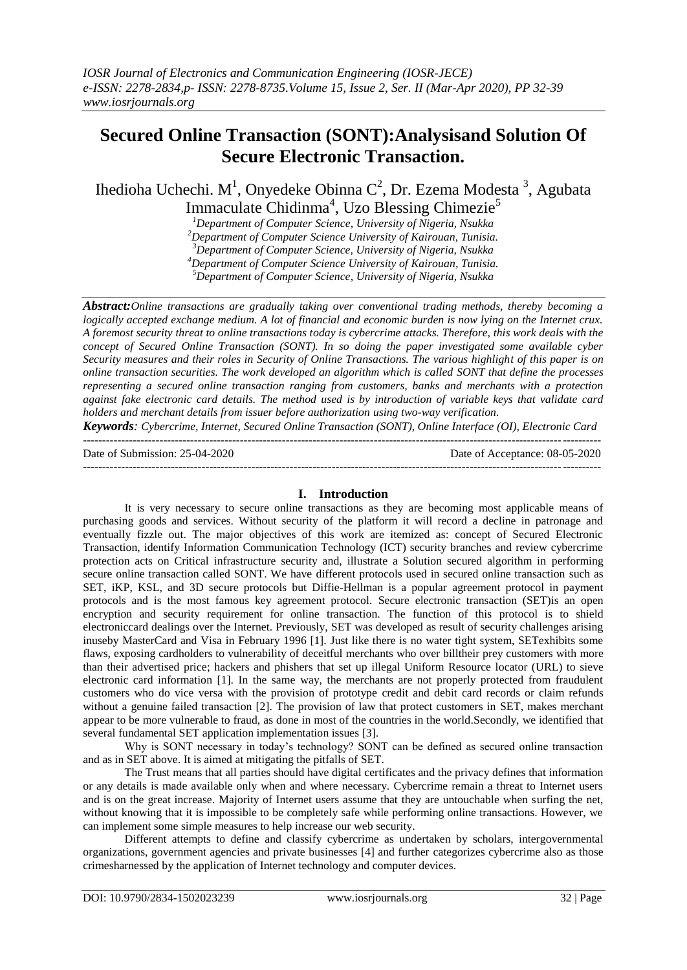# **Secured Online Transaction (SONT):Analysisand Solution Of Secure Electronic Transaction.**

Ihedioha Uchechi. M<sup>1</sup>, Onyedeke Obinna C<sup>2</sup>, Dr. Ezema Modesta<sup>3</sup>, Agubata Immaculate Chidinma<sup>4</sup>, Uzo Blessing Chimezie<sup>5</sup>

*<sup>1</sup>Department of Computer Science, University of Nigeria, Nsukka <sup>2</sup>Department of Computer Science University of Kairouan, Tunisia.*

*<sup>3</sup>Department of Computer Science, University of Nigeria, Nsukka*

*<sup>4</sup>Department of Computer Science University of Kairouan, Tunisia.*

*<sup>5</sup>Department of Computer Science, University of Nigeria, Nsukka*

*Abstract:Online transactions are gradually taking over conventional trading methods, thereby becoming a logically accepted exchange medium. A lot of financial and economic burden is now lying on the Internet crux. A foremost security threat to online transactions today is cybercrime attacks. Therefore, this work deals with the concept of Secured Online Transaction (SONT). In so doing the paper investigated some available cyber Security measures and their roles in Security of Online Transactions. The various highlight of this paper is on online transaction securities. The work developed an algorithm which is called SONT that define the processes representing a secured online transaction ranging from customers, banks and merchants with a protection against fake electronic card details. The method used is by introduction of variable keys that validate card holders and merchant details from issuer before authorization using two-way verification.* 

*Keywords: Cybercrime, Internet, Secured Online Transaction (SONT), Online Interface (OI), Electronic Card* ---------------------------------------------------------------------------------------------------------------------------------------

Date of Submission: 25-04-2020

---------------------------------------------------------------------------------------------------------------------------------------

#### **I. Introduction**

It is very necessary to secure online transactions as they are becoming most applicable means of purchasing goods and services. Without security of the platform it will record a decline in patronage and eventually fizzle out. The major objectives of this work are itemized as: concept of Secured Electronic Transaction, identify Information Communication Technology (ICT) security branches and review cybercrime protection acts on Critical infrastructure security and, illustrate a Solution secured algorithm in performing secure online transaction called SONT. We have different protocols used in secured online transaction such as SET, iKP, KSL, and 3D secure protocols but Diffie-Hellman is a popular agreement protocol in payment protocols and is the most famous key agreement protocol. Secure electronic transaction (SET)is an open encryption and security requirement for online transaction. The function of this protocol is to shield electroniccard dealings over the Internet. Previously, SET was developed as result of security challenges arising inuseby MasterCard and Visa in February 1996 [1]. Just like there is no water tight system, SETexhibits some flaws, exposing cardholders to vulnerability of deceitful merchants who over billtheir prey customers with more than their advertised price; hackers and phishers that set up illegal Uniform Resource locator (URL) to sieve electronic card information [1]. In the same way, the merchants are not properly protected from fraudulent customers who do vice versa with the provision of prototype credit and debit card records or claim refunds without a genuine failed transaction [2]. The provision of law that protect customers in SET, makes merchant appear to be more vulnerable to fraud, as done in most of the countries in the world.Secondly, we identified that several fundamental SET application implementation issues [3].

Why is SONT necessary in today's technology? SONT can be defined as secured online transaction and as in SET above. It is aimed at mitigating the pitfalls of SET.

The Trust means that all parties should have digital certificates and the privacy defines that information or any details is made available only when and where necessary. Cybercrime remain a threat to Internet users and is on the great increase. Majority of Internet users assume that they are untouchable when surfing the net, without knowing that it is impossible to be completely safe while performing online transactions. However, we can implement some simple measures to help increase our web security.

Different attempts to define and classify cybercrime as undertaken by scholars, intergovernmental organizations, government agencies and private businesses [4] and further categorizes cybercrime also as those crimesharnessed by the application of Internet technology and computer devices.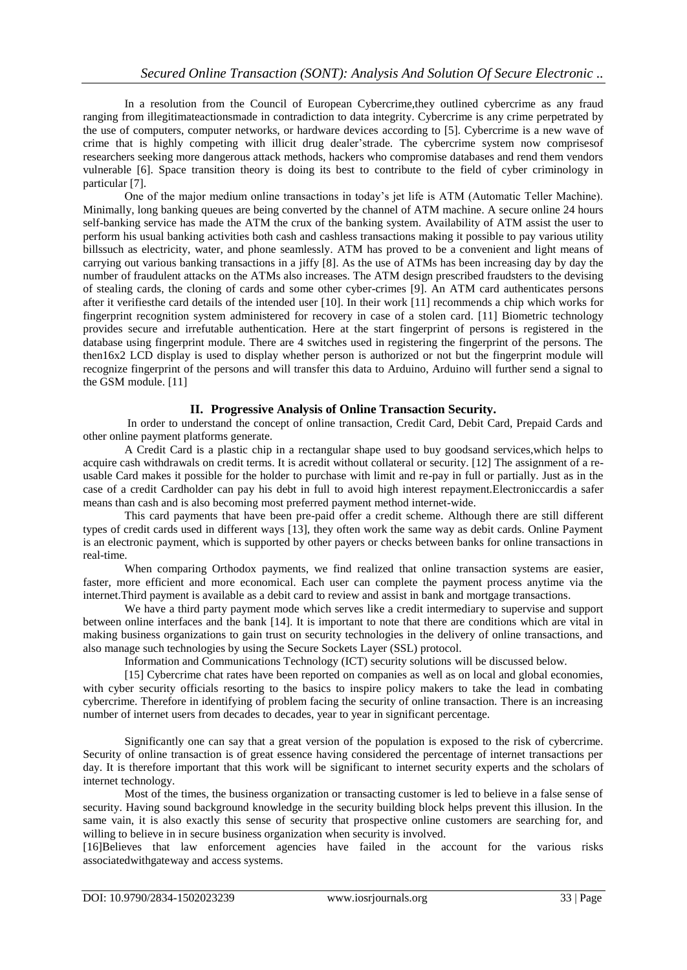In a resolution from the Council of European Cybercrime,they outlined cybercrime as any fraud ranging from illegitimateactionsmade in contradiction to data integrity. Cybercrime is any crime perpetrated by the use of computers, computer networks, or hardware devices according to [5]. Cybercrime is a new wave of crime that is highly competing with illicit drug dealer'strade. The cybercrime system now comprisesof researchers seeking more dangerous attack methods, hackers who compromise databases and rend them vendors vulnerable [6]. Space transition theory is doing its best to contribute to the field of cyber criminology in particular [7].

One of the major medium online transactions in today's jet life is ATM (Automatic Teller Machine). Minimally, long banking queues are being converted by the channel of ATM machine. A secure online 24 hours self-banking service has made the ATM the crux of the banking system. Availability of ATM assist the user to perform his usual banking activities both cash and cashless transactions making it possible to pay various utility billssuch as electricity, water, and phone seamlessly. ATM has proved to be a convenient and light means of carrying out various banking transactions in a jiffy [8]. As the use of ATMs has been increasing day by day the number of fraudulent attacks on the ATMs also increases. The ATM design prescribed fraudsters to the devising of stealing cards, the cloning of cards and some other cyber-crimes [9]. An ATM card authenticates persons after it verifiesthe card details of the intended user [10]. In their work [11] recommends a chip which works for fingerprint recognition system administered for recovery in case of a stolen card. [11] Biometric technology provides secure and irrefutable authentication. Here at the start fingerprint of persons is registered in the database using fingerprint module. There are 4 switches used in registering the fingerprint of the persons. The then16x2 LCD display is used to display whether person is authorized or not but the fingerprint module will recognize fingerprint of the persons and will transfer this data to Arduino, Arduino will further send a signal to the GSM module. [11]

# **II. Progressive Analysis of Online Transaction Security.**

In order to understand the concept of online transaction, Credit Card, Debit Card, Prepaid Cards and other online payment platforms generate.

A Credit Card is a plastic chip in a rectangular shape used to buy goodsand services,which helps to acquire cash withdrawals on credit terms. It is acredit without collateral or security. [12] The assignment of a reusable Card makes it possible for the holder to purchase with limit and re-pay in full or partially. Just as in the case of a credit Cardholder can pay his debt in full to avoid high interest repayment.Electroniccardis a safer means than cash and is also becoming most preferred payment method internet-wide.

This card payments that have been pre-paid offer a credit scheme. Although there are still different types of credit cards used in different ways [13], they often work the same way as debit cards. Online Payment is an electronic payment, which is supported by other payers or checks between banks for online transactions in real-time.

When comparing Orthodox payments, we find realized that online transaction systems are easier, faster, more efficient and more economical. Each user can complete the payment process anytime via the internet.Third payment is available as a debit card to review and assist in bank and mortgage transactions.

We have a third party payment mode which serves like a credit intermediary to supervise and support between online interfaces and the bank [14]. It is important to note that there are conditions which are vital in making business organizations to gain trust on security technologies in the delivery of online transactions, and also manage such technologies by using the Secure Sockets Layer (SSL) protocol.

Information and Communications Technology (ICT) security solutions will be discussed below.

[15] Cybercrime chat rates have been reported on companies as well as on local and global economies, with cyber security officials resorting to the basics to inspire policy makers to take the lead in combating cybercrime. Therefore in identifying of problem facing the security of online transaction. There is an increasing number of internet users from decades to decades, year to year in significant percentage.

Significantly one can say that a great version of the population is exposed to the risk of cybercrime. Security of online transaction is of great essence having considered the percentage of internet transactions per day. It is therefore important that this work will be significant to internet security experts and the scholars of internet technology.

Most of the times, the business organization or transacting customer is led to believe in a false sense of security. Having sound background knowledge in the security building block helps prevent this illusion. In the same vain, it is also exactly this sense of security that prospective online customers are searching for, and willing to believe in in secure business organization when security is involved.

[16]Believes that law enforcement agencies have failed in the account for the various risks associatedwithgateway and access systems.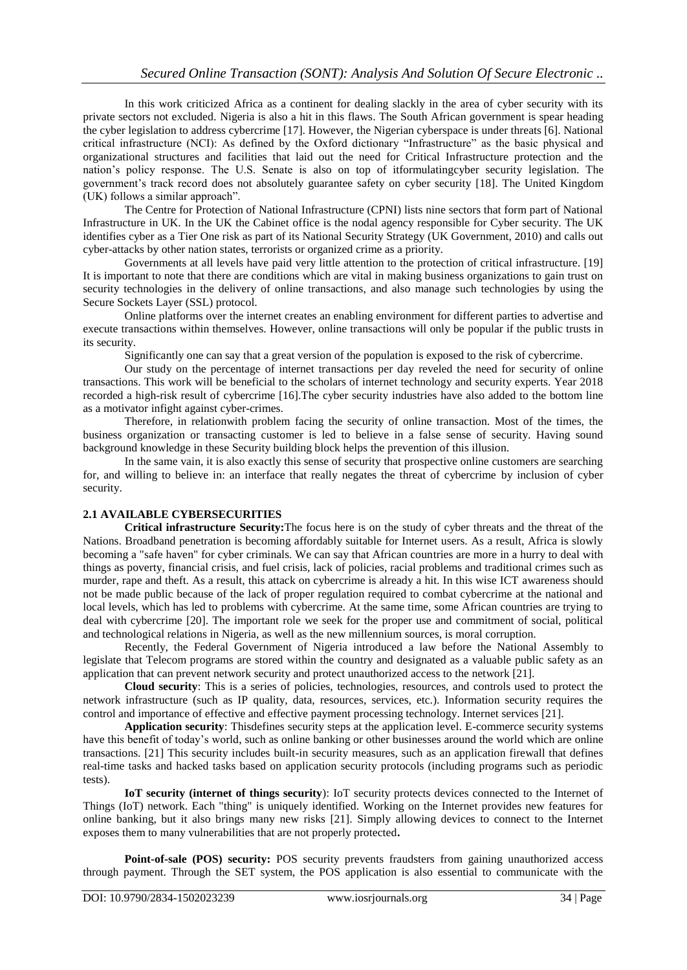In this work criticized Africa as a continent for dealing slackly in the area of cyber security with its private sectors not excluded. Nigeria is also a hit in this flaws. The South African government is spear heading the cyber legislation to address cybercrime [17]. However, the Nigerian cyberspace is under threats [6]. National critical infrastructure (NCI): As defined by the Oxford dictionary "Infrastructure" as the basic physical and organizational structures and facilities that laid out the need for Critical Infrastructure protection and the nation's policy response. The U.S. Senate is also on top of itformulatingcyber security legislation. The government's track record does not absolutely guarantee safety on cyber security [18]. The United Kingdom (UK) follows a similar approach".

The Centre for Protection of National Infrastructure (CPNI) lists nine sectors that form part of National Infrastructure in UK. In the UK the Cabinet office is the nodal agency responsible for Cyber security. The UK identifies cyber as a Tier One risk as part of its National Security Strategy (UK Government, 2010) and calls out cyber-attacks by other nation states, terrorists or organized crime as a priority.

Governments at all levels have paid very little attention to the protection of critical infrastructure. [19] It is important to note that there are conditions which are vital in making business organizations to gain trust on security technologies in the delivery of online transactions, and also manage such technologies by using the Secure Sockets Layer (SSL) protocol.

Online platforms over the internet creates an enabling environment for different parties to advertise and execute transactions within themselves. However, online transactions will only be popular if the public trusts in its security.

Significantly one can say that a great version of the population is exposed to the risk of cybercrime.

Our study on the percentage of internet transactions per day reveled the need for security of online transactions. This work will be beneficial to the scholars of internet technology and security experts. Year 2018 recorded a high-risk result of cybercrime [16].The cyber security industries have also added to the bottom line as a motivator infight against cyber-crimes.

Therefore, in relationwith problem facing the security of online transaction. Most of the times, the business organization or transacting customer is led to believe in a false sense of security. Having sound background knowledge in these Security building block helps the prevention of this illusion.

In the same vain, it is also exactly this sense of security that prospective online customers are searching for, and willing to believe in: an interface that really negates the threat of cybercrime by inclusion of cyber security.

# **2.1 AVAILABLE CYBERSECURITIES**

**Critical infrastructure Security:**The focus here is on the study of cyber threats and the threat of the Nations. Broadband penetration is becoming affordably suitable for Internet users. As a result, Africa is slowly becoming a "safe haven" for cyber criminals. We can say that African countries are more in a hurry to deal with things as poverty, financial crisis, and fuel crisis, lack of policies, racial problems and traditional crimes such as murder, rape and theft. As a result, this attack on cybercrime is already a hit. In this wise ICT awareness should not be made public because of the lack of proper regulation required to combat cybercrime at the national and local levels, which has led to problems with cybercrime. At the same time, some African countries are trying to deal with cybercrime [20]. The important role we seek for the proper use and commitment of social, political and technological relations in Nigeria, as well as the new millennium sources, is moral corruption.

Recently, the Federal Government of Nigeria introduced a law before the National Assembly to legislate that Telecom programs are stored within the country and designated as a valuable public safety as an application that can prevent network security and protect unauthorized access to the network [21].

**Cloud security**: This is a series of policies, technologies, resources, and controls used to protect the network infrastructure (such as IP quality, data, resources, services, etc.). Information security requires the control and importance of effective and effective payment processing technology. Internet services [21].

**Application security**: Thisdefines security steps at the application level. E-commerce security systems have this benefit of today's world, such as online banking or other businesses around the world which are online transactions. [21] This security includes built-in security measures, such as an application firewall that defines real-time tasks and hacked tasks based on application security protocols (including programs such as periodic tests).

**IoT security (internet of things security**): IoT security protects devices connected to the Internet of Things (IoT) network. Each "thing" is uniquely identified. Working on the Internet provides new features for online banking, but it also brings many new risks [21]. Simply allowing devices to connect to the Internet exposes them to many vulnerabilities that are not properly protected**.**

**Point-of-sale (POS) security:** POS security prevents fraudsters from gaining unauthorized access through payment. Through the SET system, the POS application is also essential to communicate with the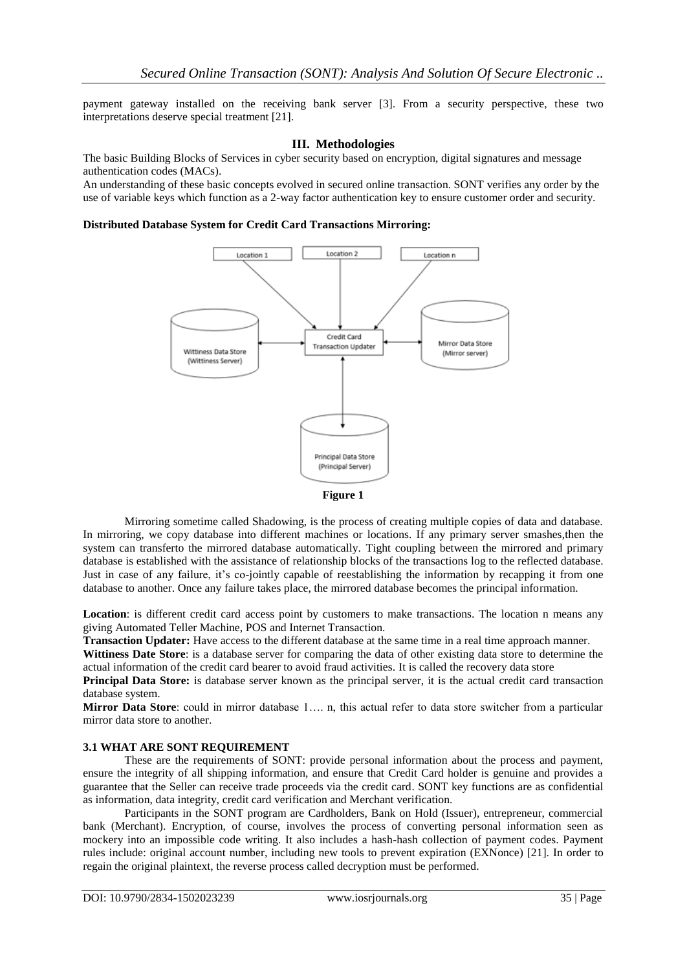payment gateway installed on the receiving bank server [3]. From a security perspective, these two interpretations deserve special treatment [21].

#### **III. Methodologies**

The basic Building Blocks of Services in cyber security based on encryption, digital signatures and message authentication codes (MACs).

An understanding of these basic concepts evolved in secured online transaction. SONT verifies any order by the use of variable keys which function as a 2-way factor authentication key to ensure customer order and security.

#### **Distributed Database System for Credit Card Transactions Mirroring:**





Mirroring sometime called Shadowing, is the process of creating multiple copies of data and database. In mirroring, we copy database into different machines or locations. If any primary server smashes,then the system can transferto the mirrored database automatically. Tight coupling between the mirrored and primary database is established with the assistance of relationship blocks of the transactions log to the reflected database. Just in case of any failure, it's co-jointly capable of reestablishing the information by recapping it from one database to another. Once any failure takes place, the mirrored database becomes the principal information.

**Location**: is different credit card access point by customers to make transactions. The location n means any giving Automated Teller Machine, POS and Internet Transaction.

**Transaction Updater:** Have access to the different database at the same time in a real time approach manner.

**Wittiness Date Store**: is a database server for comparing the data of other existing data store to determine the actual information of the credit card bearer to avoid fraud activities. It is called the recovery data store

**Principal Data Store:** is database server known as the principal server, it is the actual credit card transaction database system.

**Mirror Data Store**: could in mirror database 1…. n, this actual refer to data store switcher from a particular mirror data store to another.

### **3.1 WHAT ARE SONT REQUIREMENT**

These are the requirements of SONT: provide personal information about the process and payment, ensure the integrity of all shipping information, and ensure that Credit Card holder is genuine and provides a guarantee that the Seller can receive trade proceeds via the credit card. SONT key functions are as confidential as information, data integrity, credit card verification and Merchant verification.

Participants in the SONT program are Cardholders, Bank on Hold (Issuer), entrepreneur, commercial bank (Merchant). Encryption, of course, involves the process of converting personal information seen as mockery into an impossible code writing. It also includes a hash-hash collection of payment codes. Payment rules include: original account number, including new tools to prevent expiration (EXNonce) [21]. In order to regain the original plaintext, the reverse process called decryption must be performed.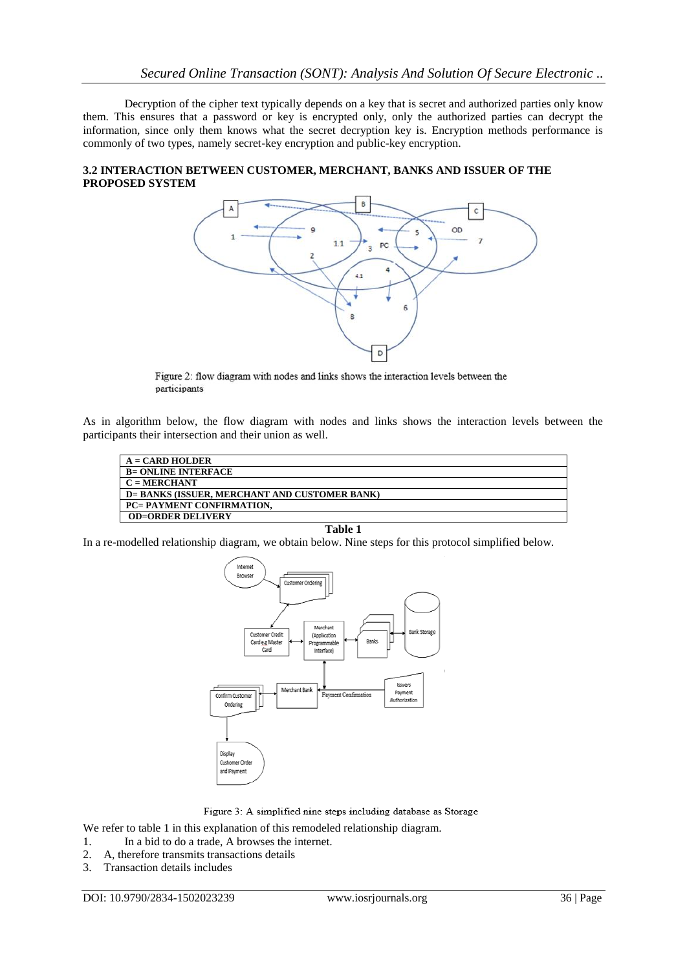Decryption of the cipher text typically depends on a key that is secret and authorized parties only know them. This ensures that a password or key is encrypted only, only the authorized parties can decrypt the information, since only them knows what the secret decryption key is. Encryption methods performance is commonly of two types, namely secret-key encryption and public-key encryption.

## **3.2 INTERACTION BETWEEN CUSTOMER, MERCHANT, BANKS AND ISSUER OF THE PROPOSED SYSTEM**



Figure 2: flow diagram with nodes and links shows the interaction levels between the participants

As in algorithm below, the flow diagram with nodes and links shows the interaction levels between the participants their intersection and their union as well.

| $A =$ CARD HOLDER                             |
|-----------------------------------------------|
| <b>B= ONLINE INTERFACE</b>                    |
| $C = MERCHANT$                                |
| D= BANKS (ISSUER. MERCHANT AND CUSTOMER BANK) |
| PC= PAYMENT CONFIRMATION.                     |
| <b>OD=ORDER DELIVERY</b>                      |

#### **Table 1**

In a re-modelled relationship diagram, we obtain below. Nine steps for this protocol simplified below.





We refer to table 1 in this explanation of this remodeled relationship diagram.

- 1. In a bid to do a trade, A browses the internet.
- 2. A, therefore transmits transactions details
- 3. Transaction details includes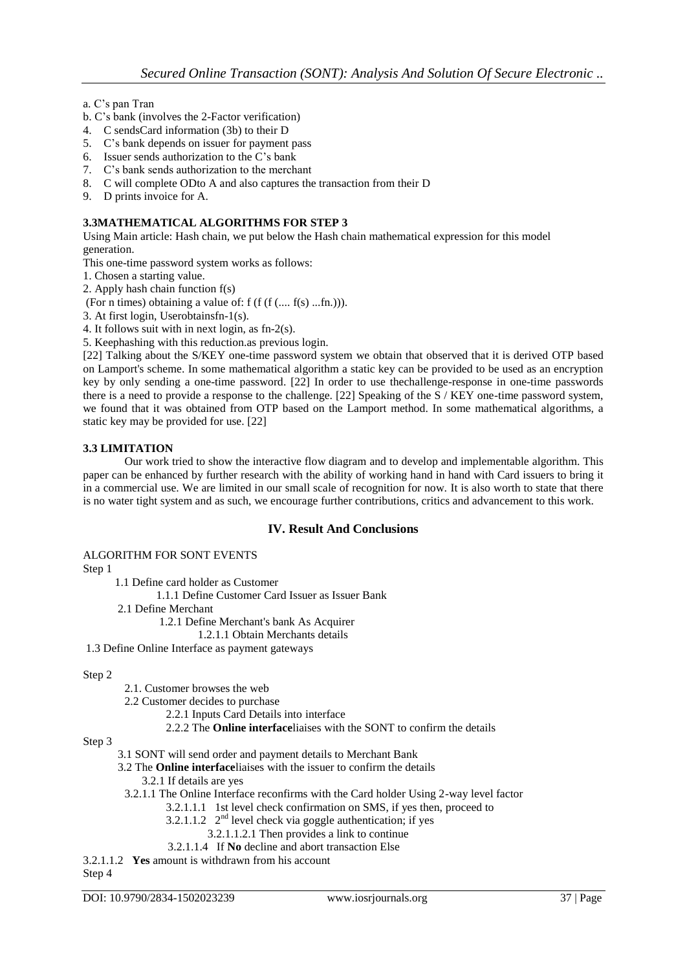a. C's pan Tran

- b. C's bank (involves the 2-Factor verification)
- 4. C sendsCard information (3b) to their D
- 5. C's bank depends on issuer for payment pass
- 6. Issuer sends authorization to the C's bank
- 7. C's bank sends authorization to the merchant
- 8. C will complete ODto A and also captures the transaction from their D
- 9. D prints invoice for A.

### **3.3MATHEMATICAL ALGORITHMS FOR STEP 3**

Using Main article: Hash chain, we put below the Hash chain mathematical expression for this model generation.

This one-time password system works as follows:

1. Chosen a starting value.

2. Apply hash chain function f(s)

(For n times) obtaining a value of: f (f  $(f (f (... f(s) ...fn))$ ).

3. At first login, Userobtainsfn-1(s).

4. It follows suit with in next login, as fn-2(s).

5. Keephashing with this reduction.as previous login.

[22] Talking about the S/KEY one-time password system we obtain that observed that it is derived OTP based on Lamport's scheme. In some mathematical algorithm a static key can be provided to be used as an encryption key by only sending a one-time password. [22] In order to use thechallenge-response in one-time passwords there is a need to provide a response to the challenge. [22] Speaking of the S / KEY one-time password system, we found that it was obtained from OTP based on the Lamport method. In some mathematical algorithms, a static key may be provided for use. [22]

### **3.3 LIMITATION**

Our work tried to show the interactive flow diagram and to develop and implementable algorithm. This paper can be enhanced by further research with the ability of working hand in hand with Card issuers to bring it in a commercial use. We are limited in our small scale of recognition for now. It is also worth to state that there is no water tight system and as such, we encourage further contributions, critics and advancement to this work.

## **IV. Result And Conclusions**

#### ALGORITHM FOR SONT EVENTS

Step 1

1.1 Define card holder as Customer

1.1.1 Define Customer Card Issuer as Issuer Bank

2.1 Define Merchant

1.2.1 Define Merchant's bank As Acquirer

1.2.1.1 Obtain Merchants details

1.3 Define Online Interface as payment gateways

#### Step 2

2.1. Customer browses the web

2.2 Customer decides to purchase

- 2.2.1 Inputs Card Details into interface
- 2.2.2 The **Online interface**liaises with the SONT to confirm the details

#### Step 3

- 3.1 SONT will send order and payment details to Merchant Bank
- 3.2 The **Online interface**liaises with the issuer to confirm the details
	- 3.2.1 If details are yes
- 3.2.1.1 The Online Interface reconfirms with the Card holder Using 2-way level factor
	- 3.2.1.1.1 1st level check confirmation on SMS, if yes then, proceed to
	- 3.2.1.1.2  $2<sup>nd</sup>$  level check via goggle authentication; if yes
		- 3.2.1.1.2.1 Then provides a link to continue
	- 3.2.1.1.4 If **No** decline and abort transaction Else

3.2.1.1.2 **Yes** amount is withdrawn from his account

Step 4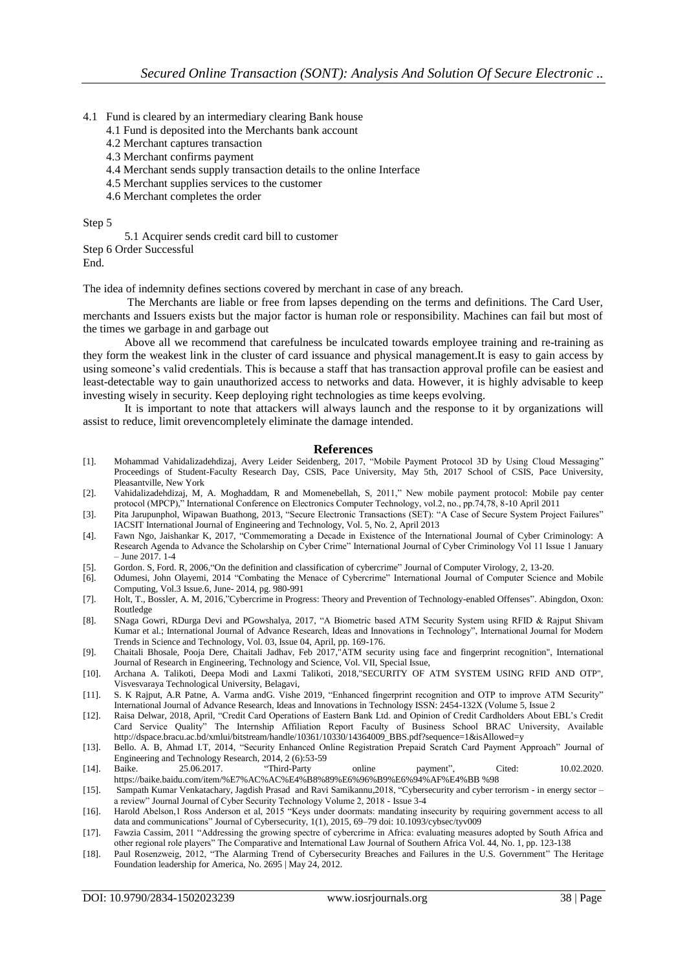- 4.1 Fund is cleared by an intermediary clearing Bank house
	- 4.1 Fund is deposited into the Merchants bank account
	- 4.2 Merchant captures transaction
	- 4.3 Merchant confirms payment
	- 4.4 Merchant sends supply transaction details to the online Interface
	- 4.5 Merchant supplies services to the customer
	- 4.6 Merchant completes the order

#### Step 5

5.1 Acquirer sends credit card bill to customer

Step 6 Order Successful End.

The idea of indemnity defines sections covered by merchant in case of any breach.

The Merchants are liable or free from lapses depending on the terms and definitions. The Card User, merchants and Issuers exists but the major factor is human role or responsibility. Machines can fail but most of the times we garbage in and garbage out

Above all we recommend that carefulness be inculcated towards employee training and re-training as they form the weakest link in the cluster of card issuance and physical management.It is easy to gain access by using someone's valid credentials. This is because a staff that has transaction approval profile can be easiest and least-detectable way to gain unauthorized access to networks and data. However, it is highly advisable to keep investing wisely in security. Keep deploying right technologies as time keeps evolving.

It is important to note that attackers will always launch and the response to it by organizations will assist to reduce, limit orevencompletely eliminate the damage intended.

#### **References**

- [1]. Mohammad Vahidalizadehdizaj, Avery Leider Seidenberg, 2017, "Mobile Payment Protocol 3D by Using Cloud Messaging" Proceedings of Student-Faculty Research Day, CSIS, Pace University, May 5th, 2017 School of CSIS, Pace University, Pleasantville, New York
- [2]. Vahidalizadehdizaj, M, A. Moghaddam, R and Momenebellah, S, 2011," New mobile payment protocol: Mobile pay center protocol (MPCP)," International Conference on Electronics Computer Technology, vol.2, no., pp.74,78, 8-10 April 2011
- [3]. Pita Jarupunphol, Wipawan Buathong, 2013, "Secure Electronic Transactions (SET): "A Case of Secure System Project Failures" IACSIT International Journal of Engineering and Technology, Vol. 5, No. 2, April 2013
- [4]. Fawn Ngo, Jaishankar K, 2017, "Commemorating a Decade in Existence of the International Journal of Cyber Criminology: A Research Agenda to Advance the Scholarship on Cyber Crime" International Journal of Cyber Criminology Vol 11 Issue 1 January – June 2017. 1-4
- [5]. Gordon. S, Ford. R, 2006,"On the definition and classification of cybercrime" Journal of Computer Virology, 2, 13-20.
- [6]. Odumesi, John Olayemi, 2014 "Combating the Menace of Cybercrime" International Journal of Computer Science and Mobile Computing, Vol.3 Issue.6, June- 2014, pg. 980-991
- [7]. Holt, T., Bossler, A. M, 2016,"Cybercrime in Progress: Theory and Prevention of Technology-enabled Offenses". Abingdon, Oxon: Routledge
- [8]. SNaga Gowri, RDurga Devi and PGowshalya, 2017, "A Biometric based ATM Security System using RFID & Rajput Shivam Kumar et al.; International Journal of Advance Research, Ideas and Innovations in Technology", International Journal for Modern Trends in Science and Technology, Vol. 03, Issue 04, April, pp. 169-176.
- [9]. Chaitali Bhosale, Pooja Dere, Chaitali Jadhav, Feb 2017,"ATM security using face and fingerprint recognition", International Journal of Research in Engineering, Technology and Science, Vol. VII, Special Issue,
- [10]. Archana A. Talikoti, Deepa Modi and Laxmi Talikoti, 2018,"SECURITY OF ATM SYSTEM USING RFID AND OTP", Visvesvaraya Technological University, Belagavi,
- [11]. S. K Rajput, A.R Patne, A. Varma andG. Vishe 2019, "Enhanced fingerprint recognition and OTP to improve ATM Security" International Journal of Advance Research, Ideas and Innovations in Technology ISSN: 2454-132X (Volume 5, Issue 2
- [12]. Raisa Delwar, 2018, April, "Credit Card Operations of Eastern Bank Ltd. and Opinion of Credit Cardholders About EBL's Credit Card Service Quality" The Internship Affiliation Report Faculty of Business School BRAC University, Available http://dspace.bracu.ac.bd/xmlui/bitstream/handle/10361/10330/14364009\_BBS.pdf?sequence=1&isAllowed=y
- [13]. Bello. A. B, Ahmad I.T, 2014, "Security Enhanced Online Registration Prepaid Scratch Card Payment Approach" Journal of Engineering and Technology Research, 2014, 2 (6):53-59
- [14]. Baike. 25.06.2017. "Third-Party online payment", Cited: 10.02.2020. https://baike.baidu.com/item/%E7%AC%AC%E4%B8%89%E6%96%B9%E6%94%AF%E4%BB %98
- [15]. Sampath Kumar Venkatachary, Jagdish Prasad and Ravi Samikannu,2018, "Cybersecurity and cyber terrorism in energy sector a review" Journal Journal of Cyber Security Technology Volume 2, 2018 - Issue 3-4
- [16]. Harold Abelson,1 Ross Anderson et al, 2015 "Keys under doormats: mandating insecurity by requiring government access to all data and communications" Journal of Cybersecurity, 1(1), 2015, 69–79 doi: 10.1093/cybsec/tyv009
- [17]. Fawzia Cassim, 2011 "Addressing the growing spectre of cybercrime in Africa: evaluating measures adopted by South Africa and other regional role players" The Comparative and International Law Journal of Southern Africa Vol. 44, No. 1, pp. 123-138
- [18]. Paul Rosenzweig, 2012, "The Alarming Trend of Cybersecurity Breaches and Failures in the U.S. Government" The Heritage Foundation leadership for America, No. 2695 | May 24, 2012.